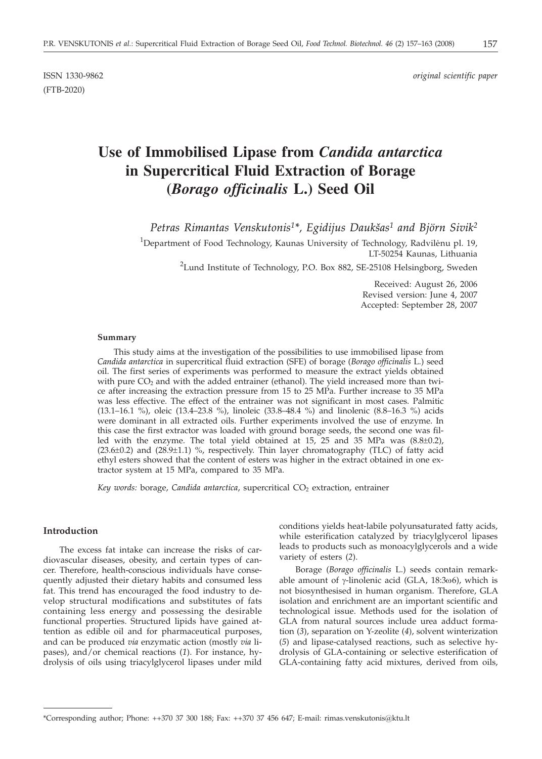(FTB-2020)

# **Use of Immobilised Lipase from** *Candida antarctica* **in Supercritical Fluid Extraction of Borage (***Borago officinalis* **L.) Seed Oil**

*Petras Rimantas Venskutonis<sup>1\*</sup>, Egidijus Daukšas<sup>1</sup> and Björn Sivik<sup>2</sup>* 

<sup>1</sup>Department of Food Technology, Kaunas University of Technology, Radvilėnu pl. 19, LT-50254 Kaunas, Lithuania <sup>2</sup>Lund Institute of Technology, P.O. Box 882, SE-25108 Helsingborg, Sweden

> Received: August 26, 2006 Revised version: June 4, 2007 Accepted: September 28, 2007

#### **Summary**

This study aims at the investigation of the possibilities to use immobilised lipase from *Candida antarctica* in supercritical fluid extraction (SFE) of borage (*Borago officinalis* L.) seed oil. The first series of experiments was performed to measure the extract yields obtained with pure  $CO<sub>2</sub>$  and with the added entrainer (ethanol). The yield increased more than twice after increasing the extraction pressure from 15 to 25 MPa. Further increase to 35 MPa was less effective. The effect of the entrainer was not significant in most cases. Palmitic (13.1–16.1 %), oleic (13.4–23.8 %), linoleic (33.8–48.4 %) and linolenic (8.8–16.3 %) acids were dominant in all extracted oils. Further experiments involved the use of enzyme. In this case the first extractor was loaded with ground borage seeds, the second one was filled with the enzyme. The total yield obtained at 15, 25 and 35 MPa was (8.8±0.2),  $(23.6\pm0.2)$  and  $(28.9\pm1.1)$  %, respectively. Thin layer chromatography (TLC) of fatty acid ethyl esters showed that the content of esters was higher in the extract obtained in one extractor system at 15 MPa, compared to 35 MPa.

*Key words: borage, Candida antarctica, supercritical CO<sub>2</sub> extraction, entrainer* 

## **Introduction**

The excess fat intake can increase the risks of cardiovascular diseases, obesity, and certain types of cancer. Therefore, health-conscious individuals have consequently adjusted their dietary habits and consumed less fat. This trend has encouraged the food industry to develop structural modifications and substitutes of fats containing less energy and possessing the desirable functional properties. Structured lipids have gained attention as edible oil and for pharmaceutical purposes, and can be produced *via* enzymatic action (mostly *via* lipases), and/or chemical reactions (*1*). For instance, hydrolysis of oils using triacylglycerol lipases under mild

conditions yields heat-labile polyunsaturated fatty acids, while esterification catalyzed by triacylglycerol lipases leads to products such as monoacylglycerols and a wide variety of esters (*2*).

Borage (*Borago officinalis* L.) seeds contain remarkable amount of  $\gamma$ -linolenic acid (GLA, 18:3 $\omega$ 6), which is not biosynthesised in human organism. Therefore, GLA isolation and enrichment are an important scientific and technological issue. Methods used for the isolation of GLA from natural sources include urea adduct formation (*3*), separation on Y-zeolite (*4*), solvent winterization (*5*) and lipase-catalysed reactions, such as selective hydrolysis of GLA-containing or selective esterification of GLA-containing fatty acid mixtures, derived from oils,

<sup>\*</sup>Corresponding author; Phone: ++370 37 300 188; Fax: ++370 37 456 647; E-mail: rimas.venskutonis*@*ktu.lt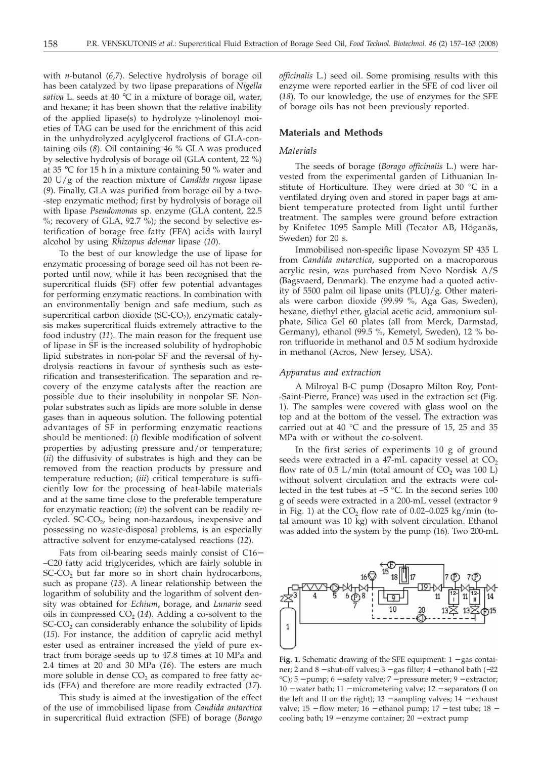with *n*-butanol (*6*,*7*). Selective hydrolysis of borage oil has been catalyzed by two lipase preparations of *Nigella sativa* L. seeds at 40 °C in a mixture of borage oil, water, and hexane; it has been shown that the relative inability of the applied lipase(s) to hydrolyze  $\gamma$ -linolenoyl moieties of TAG can be used for the enrichment of this acid in the unhydrolyzed acylglycerol fractions of GLA-containing oils (*8*). Oil containing 46 % GLA was produced by selective hydrolysis of borage oil (GLA content, 22 %) at 35 °C for 15 h in a mixture containing 50 % water and 20 U/g of the reaction mixture of *Candida rugosa* lipase (*9*). Finally, GLA was purified from borage oil by a two- -step enzymatic method; first by hydrolysis of borage oil with lipase *Pseudomonas* sp. enzyme (GLA content, 22.5 %; recovery of GLA, 92.7 %); the second by selective esterification of borage free fatty (FFA) acids with lauryl alcohol by using *Rhizopus delemar* lipase (*10*).

To the best of our knowledge the use of lipase for enzymatic processing of borage seed oil has not been reported until now, while it has been recognised that the supercritical fluids (SF) offer few potential advantages for performing enzymatic reactions. In combination with an environmentally benign and safe medium, such as supercritical carbon dioxide  $(SC$ - $CO<sub>2</sub>)$ , enzymatic catalysis makes supercritical fluids extremely attractive to the food industry (*11*). The main reason for the frequent use of lipase in SF is the increased solubility of hydrophobic lipid substrates in non-polar SF and the reversal of hydrolysis reactions in favour of synthesis such as esterification and transesterification. The separation and recovery of the enzyme catalysts after the reaction are possible due to their insolubility in nonpolar SF. Nonpolar substrates such as lipids are more soluble in dense gases than in aqueous solution. The following potential advantages of SF in performing enzymatic reactions should be mentioned: (*i*) flexible modification of solvent properties by adjusting pressure and/or temperature; (*ii*) the diffusivity of substrates is high and they can be removed from the reaction products by pressure and temperature reduction; (*iii*) critical temperature is sufficiently low for the processing of heat-labile materials and at the same time close to the preferable temperature for enzymatic reaction; (*iv*) the solvent can be readily recycled.  $SC-CO<sub>2</sub>$ , being non-hazardous, inexpensive and possessing no waste-disposal problems, is an especially attractive solvent for enzyme-catalysed reactions (*12*).

Fats from oil-bearing seeds mainly consist of C16− –C20 fatty acid triglycerides, which are fairly soluble in SC-CO<sub>2</sub> but far more so in short chain hydrocarbons, such as propane (*13*). A linear relationship between the logarithm of solubility and the logarithm of solvent density was obtained for *Echium*, borage, and *Lunaria* seed oils in compressed  $CO<sub>2</sub>$  (14). Adding a co-solvent to the SC-CO<sub>2</sub> can considerably enhance the solubility of lipids (*15*). For instance, the addition of caprylic acid methyl ester used as entrainer increased the yield of pure extract from borage seeds up to 47.8 times at 10 MPa and 2.4 times at 20 and 30 MPa (*16*). The esters are much more soluble in dense  $CO<sub>2</sub>$  as compared to free fatty acids (FFA) and therefore are more readily extracted (*17*).

This study is aimed at the investigation of the effect of the use of immobilised lipase from *Candida antarctica* in supercritical fluid extraction (SFE) of borage (*Borago* *officinalis* L.) seed oil. Some promising results with this enzyme were reported earlier in the SFE of cod liver oil (*18*). To our knowledge, the use of enzymes for the SFE of borage oils has not been previously reported.

## **Materials and Methods**

## *Materials*

The seeds of borage (*Borago officinalis* L.) were harvested from the experimental garden of Lithuanian Institute of Horticulture. They were dried at 30 °C in a ventilated drying oven and stored in paper bags at ambient temperature protected from light until further treatment. The samples were ground before extraction by Knifetec 1095 Sample Mill (Tecator AB, Höganäs, Sweden) for 20 s.

Immobilised non-specific lipase Novozym SP 435 L from *Candida antarctica*, supported on a macroporous acrylic resin, was purchased from Novo Nordisk A/S (Bagsvaerd, Denmark). The enzyme had a quoted activity of 5500 palm oil lipase units (PLU)/g. Other materials were carbon dioxide (99.99 %, Aga Gas, Sweden), hexane, diethyl ether, glacial acetic acid, ammonium sulphate, Silica Gel 60 plates (all from Merck, Darmstad, Germany), ethanol (99.5 %, Kemetyl, Sweden), 12 % boron trifluoride in methanol and 0.5 M sodium hydroxide in methanol (Acros, New Jersey, USA).

## *Apparatus and extraction*

A Milroyal B-C pump (Dosapro Milton Roy, Pont- -Saint-Pierre, France) was used in the extraction set (Fig. 1). The samples were covered with glass wool on the top and at the bottom of the vessel. The extraction was carried out at 40 °C and the pressure of 15, 25 and 35 MPa with or without the co-solvent.

In the first series of experiments 10 g of ground seeds were extracted in a 47-mL capacity vessel at  $CO<sub>2</sub>$ flow rate of  $0.5$  L/min (total amount of  $CO<sub>2</sub>$  was 100 L) without solvent circulation and the extracts were collected in the test tubes at –5 °C. In the second series 100 g of seeds were extracted in a 200-mL vessel (extractor 9 in Fig. 1) at the  $CO<sub>2</sub>$  flow rate of 0.02–0.025 kg/min (total amount was 10 kg) with solvent circulation. Ethanol was added into the system by the pump (16). Two 200-mL



**Fig. 1.** Schematic drawing of the SFE equipment: 1 − gas container; 2 and 8 − shut-off valves; 3 − gas filter; 4 − ethanol bath (−22 °C); 5 − pump; 6 − safety valve; 7 − pressure meter; 9 − extractor; 10 − water bath; 11 − micrometering valve; 12 − separators (I on the left and II on the right); 13 − sampling valves; 14 − exhaust valve; 15 − flow meter; 16 − ethanol pump; 17 − test tube; 18 − cooling bath; 19 − enzyme container; 20 − extract pump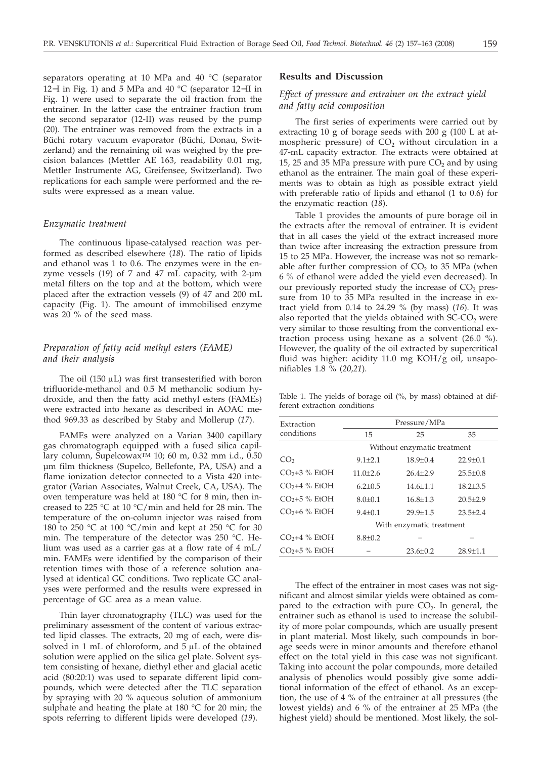separators operating at 10 MPa and 40 °C (separator 12−I in Fig. 1) and 5 MPa and 40 °C (separator 12−II in Fig. 1) were used to separate the oil fraction from the entrainer. In the latter case the entrainer fraction from the second separator (12-II) was reused by the pump (20). The entrainer was removed from the extracts in a Büchi rotary vacuum evaporator (Büchi, Donau, Switzerland) and the remaining oil was weighed by the precision balances (Mettler AE 163, readability 0.01 mg, Mettler Instrumente AG, Greifensee, Switzerland). Two replications for each sample were performed and the results were expressed as a mean value.

#### *Enzymatic treatment*

The continuous lipase-catalysed reaction was performed as described elsewhere (*18*). The ratio of lipids and ethanol was 1 to 0.6. The enzymes were in the enzyme vessels (19) of 7 and 47 mL capacity, with 2-µm metal filters on the top and at the bottom, which were placed after the extraction vessels (9) of 47 and 200 mL capacity (Fig. 1). The amount of immobilised enzyme was 20 % of the seed mass.

# *Preparation of fatty acid methyl esters (FAME) and their analysis*

The oil  $(150 \mu L)$  was first transesterified with boron trifluoride-methanol and 0.5 M methanolic sodium hydroxide, and then the fatty acid methyl esters (FAMEs) were extracted into hexane as described in AOAC method 969.33 as described by Staby and Mollerup (*17*).

FAMEs were analyzed on a Varian 3400 capillary gas chromatograph equipped with a fused silica capillary column, Supelcowax<sup>TM</sup> 10; 60 m, 0.32 mm i.d., 0.50 µm film thickness (Supelco, Bellefonte, PA, USA) and a flame ionization detector connected to a Vista 420 integrator (Varian Associates, Walnut Creek, CA, USA). The oven temperature was held at 180 °C for 8 min, then increased to 225 °C at 10 °C/min and held for 28 min. The temperature of the on-column injector was raised from 180 to 250 °C at 100 °C/min and kept at 250 °C for 30 min. The temperature of the detector was 250 °C. Helium was used as a carrier gas at a flow rate of 4 mL/ min. FAMEs were identified by the comparison of their retention times with those of a reference solution analysed at identical GC conditions. Two replicate GC analyses were performed and the results were expressed in percentage of GC area as a mean value.

Thin layer chromatography (TLC) was used for the preliminary assessment of the content of various extracted lipid classes. The extracts, 20 mg of each, were dissolved in 1 mL of chloroform, and  $5 \mu L$  of the obtained solution were applied on the silica gel plate. Solvent system consisting of hexane, diethyl ether and glacial acetic acid (80:20:1) was used to separate different lipid compounds, which were detected after the TLC separation by spraying with 20 % aqueous solution of ammonium sulphate and heating the plate at 180 °C for 20 min; the spots referring to different lipids were developed (*19*).

## **Results and Discussion**

# *Effect of pressure and entrainer on the extract yield and fatty acid composition*

The first series of experiments were carried out by extracting 10 g of borage seeds with 200 g (100 L at atmospheric pressure) of  $CO<sub>2</sub>$  without circulation in a 47-mL capacity extractor. The extracts were obtained at 15, 25 and 35 MPa pressure with pure  $CO<sub>2</sub>$  and by using ethanol as the entrainer. The main goal of these experiments was to obtain as high as possible extract yield with preferable ratio of lipids and ethanol (1 to 0.6) for the enzymatic reaction (*18*).

Table 1 provides the amounts of pure borage oil in the extracts after the removal of entrainer. It is evident that in all cases the yield of the extract increased more than twice after increasing the extraction pressure from 15 to 25 MPa. However, the increase was not so remarkable after further compression of  $CO<sub>2</sub>$  to 35 MPa (when 6 % of ethanol were added the yield even decreased). In our previously reported study the increase of  $CO<sub>2</sub>$  pressure from 10 to 35 MPa resulted in the increase in extract yield from 0.14 to 24.29 % (by mass) (*16*). It was also reported that the yields obtained with  $SC\text{-}CO<sub>2</sub>$  were very similar to those resulting from the conventional extraction process using hexane as a solvent (26.0 %). However, the quality of the oil extracted by supercritical fluid was higher: acidity 11.0 mg KOH/g oil, unsaponifiables 1.8 % (*20,21*).

Table 1. The yields of borage oil (%, by mass) obtained at different extraction conditions

| Extraction      | Pressure/MPa                |                          |                |  |  |  |  |  |
|-----------------|-----------------------------|--------------------------|----------------|--|--|--|--|--|
| conditions      | 15                          | 25                       | 35             |  |  |  |  |  |
|                 | Without enzymatic treatment |                          |                |  |  |  |  |  |
| CO <sub>2</sub> | $9.1 + 2.1$                 | $18.9 + 0.4$             | $22.9 + 0.1$   |  |  |  |  |  |
| $CO2+3$ % EtOH  | $11.0 + 2.6$                | $26.4 + 2.9$             | $25.5 + 0.8$   |  |  |  |  |  |
| $CO2+4$ % EtOH  | $6.2 + 0.5$                 | $14.6 + 1.1$             | $18.2 \pm 3.5$ |  |  |  |  |  |
| $CO2+5$ % EtOH  | $8.0 + 0.1$                 | $16.8 + 1.3$             | $20.5 + 2.9$   |  |  |  |  |  |
| $CO2+6$ % EtOH  | $9.4 + 0.1$                 | $29.9 + 1.5$             | $23.5 + 2.4$   |  |  |  |  |  |
|                 |                             | With enzymatic treatment |                |  |  |  |  |  |
| $CO2+4$ % EtOH  | $8.8 \pm 0.2$               |                          |                |  |  |  |  |  |
| $CO2+5$ % EtOH  |                             | $23.6 \pm 0.2$           | $28.9 \pm 1.1$ |  |  |  |  |  |
|                 |                             |                          |                |  |  |  |  |  |

The effect of the entrainer in most cases was not significant and almost similar yields were obtained as compared to the extraction with pure  $CO<sub>2</sub>$ . In general, the entrainer such as ethanol is used to increase the solubility of more polar compounds, which are usually present in plant material. Most likely, such compounds in borage seeds were in minor amounts and therefore ethanol effect on the total yield in this case was not significant. Taking into account the polar compounds, more detailed analysis of phenolics would possibly give some additional information of the effect of ethanol. As an exception, the use of 4 % of the entrainer at all pressures (the lowest yields) and 6 % of the entrainer at 25 MPa (the highest yield) should be mentioned. Most likely, the sol-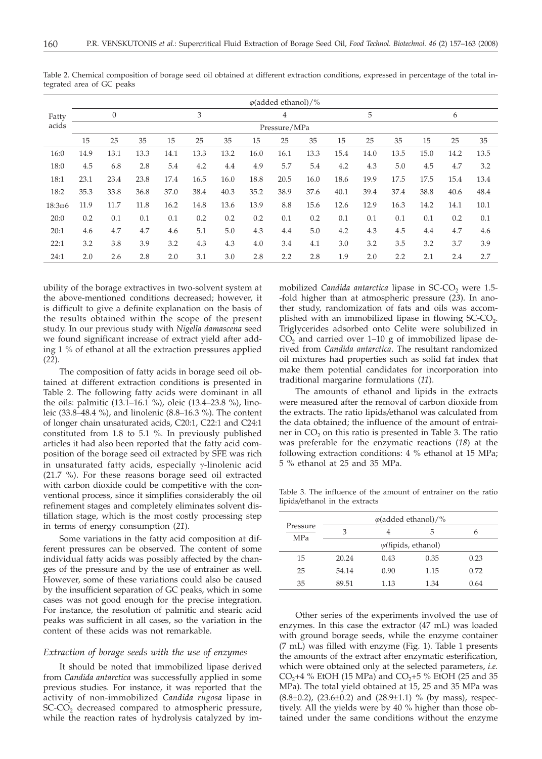|         |      |                |      |      |      |      |      | $\varphi$ (added ethanol)/% |      |      |      |      |      |      |      |
|---------|------|----------------|------|------|------|------|------|-----------------------------|------|------|------|------|------|------|------|
| Fatty   |      | $\overline{0}$ |      |      | 3    |      |      | 4                           |      |      | 5    |      |      | 6    |      |
| acids   |      | Pressure/MPa   |      |      |      |      |      |                             |      |      |      |      |      |      |      |
|         | 15   | 25             | 35   | 15   | 25   | 35   | 15   | 25                          | 35   | 15   | 25   | 35   | 15   | 25   | 35   |
| 16:0    | 14.9 | 13.1           | 13.3 | 14.1 | 13.3 | 13.2 | 16.0 | 16.1                        | 13.3 | 15.4 | 14.0 | 13.5 | 15.0 | 14.2 | 13.5 |
| 18:0    | 4.5  | 6.8            | 2.8  | 5.4  | 4.2  | 4.4  | 4.9  | 5.7                         | 5.4  | 4.2  | 4.3  | 5.0  | 4.5  | 4.7  | 3.2  |
| 18:1    | 23.1 | 23.4           | 23.8 | 17.4 | 16.5 | 16.0 | 18.8 | 20.5                        | 16.0 | 18.6 | 19.9 | 17.5 | 17.5 | 15.4 | 13.4 |
| 18:2    | 35.3 | 33.8           | 36.8 | 37.0 | 38.4 | 40.3 | 35.2 | 38.9                        | 37.6 | 40.1 | 39.4 | 37.4 | 38.8 | 40.6 | 48.4 |
| 18:3006 | 11.9 | 11.7           | 11.8 | 16.2 | 14.8 | 13.6 | 13.9 | 8.8                         | 15.6 | 12.6 | 12.9 | 16.3 | 14.2 | 14.1 | 10.1 |
| 20:0    | 0.2  | 0.1            | 0.1  | 0.1  | 0.2  | 0.2  | 0.2  | 0.1                         | 0.2  | 0.1  | 0.1  | 0.1  | 0.1  | 0.2  | 0.1  |
| 20:1    | 4.6  | 4.7            | 4.7  | 4.6  | 5.1  | 5.0  | 4.3  | 4.4                         | 5.0  | 4.2  | 4.3  | 4.5  | 4.4  | 4.7  | 4.6  |
| 22:1    | 3.2  | 3.8            | 3.9  | 3.2  | 4.3  | 4.3  | 4.0  | 3.4                         | 4.1  | 3.0  | 3.2  | 3.5  | 3.2  | 3.7  | 3.9  |
| 24:1    | 2.0  | 2.6            | 2.8  | 2.0  | 3.1  | 3.0  | 2.8  | 2.2                         | 2.8  | 1.9  | 2.0  | 2.2  | 2.1  | 2.4  | 2.7  |

Table 2. Chemical composition of borage seed oil obtained at different extraction conditions, expressed in percentage of the total integrated area of GC peaks

ubility of the borage extractives in two-solvent system at the above-mentioned conditions decreased; however, it is difficult to give a definite explanation on the basis of the results obtained within the scope of the present study. In our previous study with *Nigella damascena* seed we found significant increase of extract yield after adding 1 % of ethanol at all the extraction pressures applied (*22*).

The composition of fatty acids in borage seed oil obtained at different extraction conditions is presented in Table 2. The following fatty acids were dominant in all the oils: palmitic (13.1–16.1 %), oleic (13.4–23.8 %), linoleic (33.8–48.4 %), and linolenic (8.8–16.3 %). The content of longer chain unsaturated acids, C20:1, C22:1 and C24:1 constituted from 1.8 to 5.1 %. In previously published articles it had also been reported that the fatty acid composition of the borage seed oil extracted by SFE was rich in unsaturated fatty acids, especially  $\gamma$ -linolenic acid (21.7 %). For these reasons borage seed oil extracted with carbon dioxide could be competitive with the conventional process, since it simplifies considerably the oil refinement stages and completely eliminates solvent distillation stage, which is the most costly processing step in terms of energy consumption (*21*).

Some variations in the fatty acid composition at different pressures can be observed. The content of some individual fatty acids was possibly affected by the changes of the pressure and by the use of entrainer as well. However, some of these variations could also be caused by the insufficient separation of GC peaks, which in some cases was not good enough for the precise integration. For instance, the resolution of palmitic and stearic acid peaks was sufficient in all cases, so the variation in the content of these acids was not remarkable.

### *Extraction of borage seeds with the use of enzymes*

It should be noted that immobilized lipase derived from *Candida antarctica* was successfully applied in some previous studies. For instance, it was reported that the activity of non-immobilized *Candida rugosa* lipase in SC-CO<sub>2</sub> decreased compared to atmospheric pressure, while the reaction rates of hydrolysis catalyzed by immobilized *Candida antarctica* lipase in SC-CO<sub>2</sub> were 1.5--fold higher than at atmospheric pressure (*23*). In another study, randomization of fats and oils was accomplished with an immobilized lipase in flowing SC-CO<sub>2</sub>. Triglycerides adsorbed onto Celite were solubilized in  $CO<sub>2</sub>$  and carried over 1–10 g of immobilized lipase derived from *Candida antarctica*. The resultant randomized oil mixtures had properties such as solid fat index that make them potential candidates for incorporation into traditional margarine formulations (*11*).

The amounts of ethanol and lipids in the extracts were measured after the removal of carbon dioxide from the extracts. The ratio lipids*/*ethanol was calculated from the data obtained; the influence of the amount of entrainer in  $CO<sub>2</sub>$  on this ratio is presented in Table 3. The ratio was preferable for the enzymatic reactions (*18*) at the following extraction conditions: 4 % ethanol at 15 MPa; 5 % ethanol at 25 and 35 MPa.

Table 3. The influence of the amount of entrainer on the ratio lipids*/*ethanol in the extracts

|                        | $\varphi$ (added ethanol)/% |      |      |      |  |  |  |  |
|------------------------|-----------------------------|------|------|------|--|--|--|--|
| Pressure<br><b>MPa</b> | 3                           |      | 5    | h    |  |  |  |  |
|                        | $\psi$ (lipids, ethanol)    |      |      |      |  |  |  |  |
| 15                     | 20.24                       | 0.43 | 0.35 | 0.23 |  |  |  |  |
| 25                     | 54.14                       | 0.90 | 1.15 | 0.72 |  |  |  |  |
| 35                     | 89.51                       | 1.13 | 1.34 | 0.64 |  |  |  |  |

Other series of the experiments involved the use of enzymes. In this case the extractor (47 mL) was loaded with ground borage seeds, while the enzyme container (7 mL) was filled with enzyme (Fig. 1). Table 1 presents the amounts of the extract after enzymatic esterification, which were obtained only at the selected parameters, *i.e.*  $CO<sub>2</sub>+4$  % EtOH (15 MPa) and  $CO<sub>2</sub>+5$  % EtOH (25 and 35 MPa). The total yield obtained at 15, 25 and 35 MPa was  $(8.8\pm0.2)$ ,  $(23.6\pm0.2)$  and  $(28.9\pm1.1)$  % (by mass), respectively. All the yields were by 40 % higher than those obtained under the same conditions without the enzyme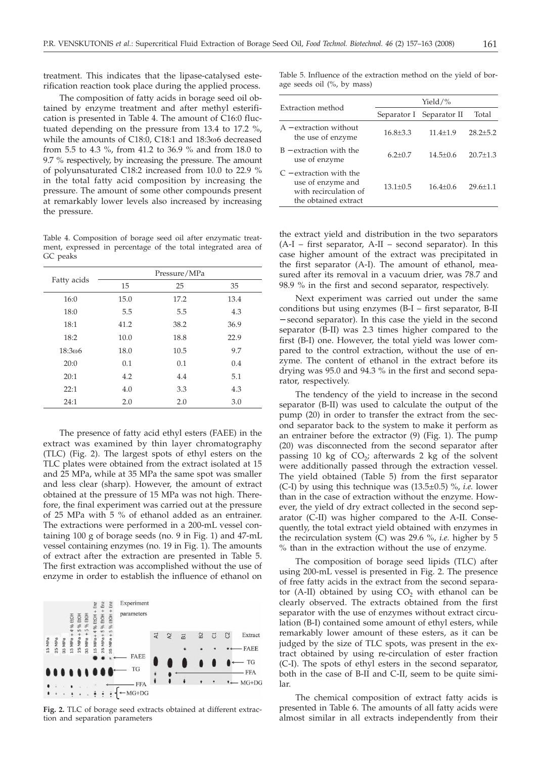treatment. This indicates that the lipase-catalysed esterification reaction took place during the applied process.

The composition of fatty acids in borage seed oil obtained by enzyme treatment and after methyl esterification is presented in Table 4. The amount of C16:0 fluctuated depending on the pressure from 13.4 to 17.2 %, while the amounts of C18:0, C18:1 and 18:3w6 decreased from 5.5 to 4.3 %, from 41.2 to 36.9 % and from 18.0 to 9.7 % respectively, by increasing the pressure. The amount of polyunsaturated C18:2 increased from 10.0 to 22.9 % in the total fatty acid composition by increasing the pressure. The amount of some other compounds present at remarkably lower levels also increased by increasing the pressure.

Table 4. Composition of borage seed oil after enzymatic treatment, expressed in percentage of the total integrated area of GC peaks

|                | Pressure/MPa |      |      |  |  |  |
|----------------|--------------|------|------|--|--|--|
| Fatty acids    | 15           | 25   | 35   |  |  |  |
| 16:0           | 15.0         | 17.2 | 13.4 |  |  |  |
| 18:0           | 5.5          | 5.5  | 4.3  |  |  |  |
| 18:1           | 41.2         | 38.2 | 36.9 |  |  |  |
| 18:2           | 10.0         | 18.8 | 22.9 |  |  |  |
| $18:3\omega$ 6 | 18.0         | 10.5 | 9.7  |  |  |  |
| 20:0           | 0.1          | 0.1  | 0.4  |  |  |  |
| 20:1           | 4.2          | 4.4  | 5.1  |  |  |  |
| 22:1           | 4.0          | 3.3  | 4.3  |  |  |  |
| 24:1           | 2.0          | 2.0  | 3.0  |  |  |  |

The presence of fatty acid ethyl esters (FAEE) in the extract was examined by thin layer chromatography (TLC) (Fig. 2). The largest spots of ethyl esters on the TLC plates were obtained from the extract isolated at 15 and 25 MPa, while at 35 MPa the same spot was smaller and less clear (sharp). However, the amount of extract obtained at the pressure of 15 MPa was not high. Therefore, the final experiment was carried out at the pressure of 25 MPa with 5 % of ethanol added as an entrainer. The extractions were performed in a 200-mL vessel containing 100 g of borage seeds (no. 9 in Fig. 1) and 47-mL vessel containing enzymes (no. 19 in Fig. 1). The amounts of extract after the extraction are presented in Table 5. The first extraction was accomplished without the use of enzyme in order to establish the influence of ethanol on



**Fig. 2.** TLC of borage seed extracts obtained at different extraction and separation parameters

Table 5. Influence of the extraction method on the yield of borage seeds oil (%, by mass)

|                                                                                                 | Yield/ $\%$  |                          |                |  |  |  |  |
|-------------------------------------------------------------------------------------------------|--------------|--------------------------|----------------|--|--|--|--|
| Extraction method                                                                               |              | Separator I Separator II | Total          |  |  |  |  |
| $A -$ extraction without<br>the use of enzyme                                                   | $16.8 + 3.3$ | $11.4 + 1.9$             | $28.2 \pm 5.2$ |  |  |  |  |
| $B -$ extraction with the<br>use of enzyme                                                      | $6.2 + 0.7$  | $14.5 + 0.6$             | $20.7 + 1.3$   |  |  |  |  |
| $C$ – extraction with the<br>use of enzyme and<br>with recirculation of<br>the obtained extract | $13.1 + 0.5$ | $16.4 + 0.6$             | $29.6 \pm 1.1$ |  |  |  |  |

the extract yield and distribution in the two separators (A-I – first separator, A-II – second separator). In this case higher amount of the extract was precipitated in the first separator (A-I). The amount of ethanol, measured after its removal in a vacuum drier, was 78.7 and 98.9 % in the first and second separator, respectively.

Next experiment was carried out under the same conditions but using enzymes (B-I – first separator, B-II − second separator). In this case the yield in the second separator (B-II) was 2.3 times higher compared to the first (B-I) one. However, the total yield was lower compared to the control extraction, without the use of enzyme. The content of ethanol in the extract before its drying was 95.0 and 94.3 % in the first and second separator, respectively.

The tendency of the yield to increase in the second separator (B-II) was used to calculate the output of the pump (20) in order to transfer the extract from the second separator back to the system to make it perform as an entrainer before the extractor (9) (Fig. 1). The pump (20) was disconnected from the second separator after passing 10 kg of  $CO<sub>2</sub>$ ; afterwards 2 kg of the solvent were additionally passed through the extraction vessel. The yield obtained (Table 5) from the first separator (C-I) by using this technique was (13.5±0.5) %, *i.e.* lower than in the case of extraction without the enzyme. However, the yield of dry extract collected in the second separator (C-II) was higher compared to the A-II. Consequently, the total extract yield obtained with enzymes in the recirculation system (C) was 29.6 %, *i.e.* higher by 5 % than in the extraction without the use of enzyme.

The composition of borage seed lipids (TLC) after using 200-mL vessel is presented in Fig. 2. The presence of free fatty acids in the extract from the second separator (A-II) obtained by using  $CO<sub>2</sub>$  with ethanol can be clearly observed. The extracts obtained from the first separator with the use of enzymes without extract circulation (B-I) contained some amount of ethyl esters, while remarkably lower amount of these esters, as it can be judged by the size of TLC spots, was present in the extract obtained by using re-circulation of ester fraction (C-I). The spots of ethyl esters in the second separator, both in the case of B-II and C-II, seem to be quite similar.

The chemical composition of extract fatty acids is presented in Table 6. The amounts of all fatty acids were almost similar in all extracts independently from their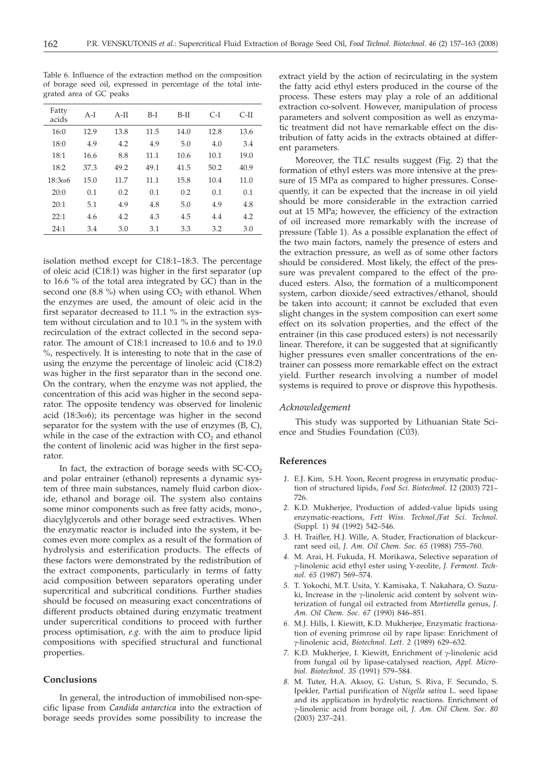| Fatty<br>acids | $A-I$ | $A-II$ | $B-I$ | B-II | $C-I$ | C-II |
|----------------|-------|--------|-------|------|-------|------|
| 16:0           | 12.9  | 13.8   | 11.5  | 14.0 | 12.8  | 13.6 |
| 18:0           | 4.9   | 4.2    | 4.9   | 5.0  | 4.0   | 3.4  |
| 18:1           | 16.6  | 8.8    | 11.1  | 10.6 | 10.1  | 19.0 |
| 18:2           | 37.3  | 49.2   | 49.1  | 41.5 | 50.2  | 40.9 |
| 18:306         | 15.0  | 11.7   | 11.1  | 15.8 | 10.4  | 11.0 |
| 20:0           | 0.1   | 0.2    | 0.1   | 0.2  | 0.1   | 0.1  |
| 20:1           | 5.1   | 4.9    | 4.8   | 5.0  | 4.9   | 4.8  |
| 22:1           | 4.6   | 4.2    | 4.3   | 4.5  | 4.4   | 4.2  |
| 24:1           | 3.4   | 3.0    | 3.1   | 3.3  | 3.2   | 3.0  |

Table 6. Influence of the extraction method on the composition of borage seed oil, expressed in percentage of the total integrated area of GC peaks

isolation method except for C18:1–18:3. The percentage of oleic acid (C18:1) was higher in the first separator (up to 16.6 % of the total area integrated by GC) than in the second one  $(8.8 \%)$  when using  $CO<sub>2</sub>$  with ethanol. When the enzymes are used, the amount of oleic acid in the first separator decreased to 11.1 % in the extraction system without circulation and to 10.1 % in the system with recirculation of the extract collected in the second separator. The amount of C18:1 increased to 10.6 and to 19.0 %, respectively. It is interesting to note that in the case of using the enzyme the percentage of linoleic acid (C18:2) was higher in the first separator than in the second one. On the contrary, when the enzyme was not applied, the concentration of this acid was higher in the second separator. The opposite tendency was observed for linolenic acid (18:3w6); its percentage was higher in the second separator for the system with the use of enzymes (B, C), while in the case of the extraction with  $CO<sub>2</sub>$  and ethanol the content of linolenic acid was higher in the first separator.

In fact, the extraction of borage seeds with  $SC-CO<sub>2</sub>$ and polar entrainer (ethanol) represents a dynamic system of three main substances, namely fluid carbon dioxide, ethanol and borage oil. The system also contains some minor components such as free fatty acids, mono-, diacylglycerols and other borage seed extractives. When the enzymatic reactor is included into the system, it becomes even more complex as a result of the formation of hydrolysis and esterification products. The effects of these factors were demonstrated by the redistribution of the extract components, particularly in terms of fatty acid composition between separators operating under supercritical and subcritical conditions. Further studies should be focused on measuring exact concentrations of different products obtained during enzymatic treatment under supercritical conditions to proceed with further process optimisation, *e.g.* with the aim to produce lipid compositions with specified structural and functional properties.

## **Conclusions**

In general, the introduction of immobilised non-specific lipase from *Candida antarctica* into the extraction of borage seeds provides some possibility to increase the

extract yield by the action of recirculating in the system the fatty acid ethyl esters produced in the course of the process. These esters may play a role of an additional extraction co-solvent. However, manipulation of process parameters and solvent composition as well as enzymatic treatment did not have remarkable effect on the distribution of fatty acids in the extracts obtained at different parameters.

Moreover, the TLC results suggest (Fig. 2) that the formation of ethyl esters was more intensive at the pressure of 15 MPa as compared to higher pressures. Consequently, it can be expected that the increase in oil yield should be more considerable in the extraction carried out at 15 MPa; however, the efficiency of the extraction of oil increased more remarkably with the increase of pressure (Table 1). As a possible explanation the effect of the two main factors, namely the presence of esters and the extraction pressure, as well as of some other factors should be considered. Most likely, the effect of the pressure was prevalent compared to the effect of the produced esters. Also, the formation of a multicomponent system, carbon dioxide/seed extractives/ethanol, should be taken into account; it cannot be excluded that even slight changes in the system composition can exert some effect on its solvation properties, and the effect of the entrainer (in this case produced esters) is not necessarily linear. Therefore, it can be suggested that at significantly higher pressures even smaller concentrations of the entrainer can possess more remarkable effect on the extract yield. Further research involving a number of model systems is required to prove or disprove this hypothesis.

## *Acknowledgement*

This study was supported by Lithuanian State Science and Studies Foundation (C03).

## **References**

- *1.* E.J. Kim, S.H. Yoon, Recent progress in enzymatic production of structured lipids, *Food Sci. Biotechnol. 12* (2003) 721– 726.
- *2.* K.D. Mukherjee, Production of added-value lipids using enzymatic-reactions, *Fett Wiss. Technol./Fat Sci. Technol.* (Suppl. 1) *94* (1992) 542–546.
- *3.* H. Traifler, H.J. Wille, A. Studer, Fractionation of blackcurrant seed oil, *J. Am. Oil Chem. Soc. 65* (1988) 755–760.
- *4.* M. Arai, H. Fukuda, H. Morikawa, Selective separation of g-linolenic acid ethyl ester using Y-zeolite, *J. Ferment. Technol*. *65* (1987) 569–574.
- *5.* T. Yokochi, M.T. Usita, Y. Kamisaka, T. Nakahara, O. Suzuki, Increase in the  $\gamma$ -linolenic acid content by solvent winterization of fungal oil extracted from *Mortierella* genus, *J. Am. Oil Chem. Soc*. *67* (1990) 846–851.
- *6.* M.J. Hills, I. Kiewitt, K.D. Mukherjee, Enzymatic fractionation of evening primrose oil by rape lipase: Enrichment of g-linolenic acid, *Biotechnol. Lett*. *<sup>2</sup>* (1989) 629–632.
- 7. K.D. Mukherjee, I. Kiewitt, Enrichment of y-linolenic acid from fungal oil by lipase-catalysed reaction, *Appl. Microbiol. Biotechnol*. *35* (1991) 579–584.
- *8.* M. Tuter, H.A. Aksoy, G. Ustun, S. Riva, F. Secundo, S. Ipekler, Partial purification of *Nigella sativa* L. seed lipase and its application in hydrolytic reactions. Enrichment of g-linolenic acid from borage oil, *J. Am. Oil Chem. Soc*. *<sup>80</sup>* (2003) 237–241.